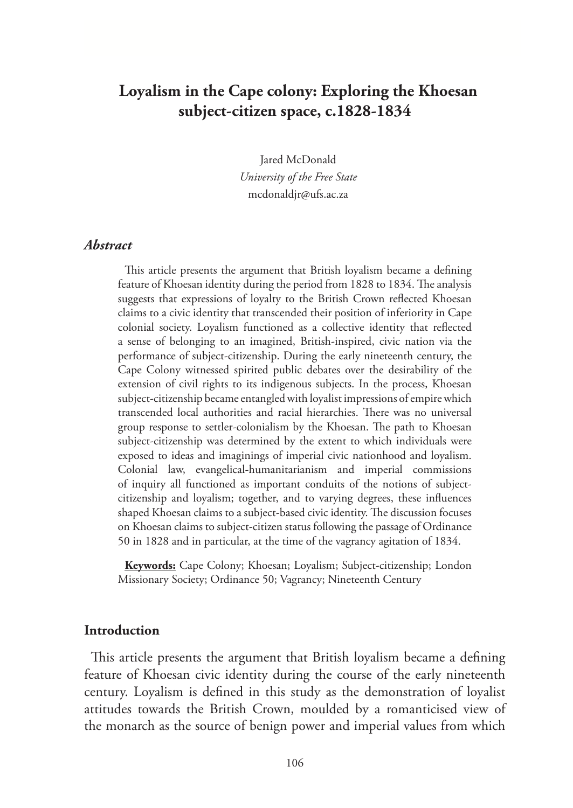# **Loyalism in the Cape colony: Exploring the Khoesan subject-citizen space, c.1828-1834**

Jared McDonald *University of the Free State* mcdonaldjr@ufs.ac.za

#### *Abstract*

This article presents the argument that British loyalism became a defining feature of Khoesan identity during the period from 1828 to 1834. The analysis suggests that expressions of loyalty to the British Crown reflected Khoesan claims to a civic identity that transcended their position of inferiority in Cape colonial society. Loyalism functioned as a collective identity that reflected a sense of belonging to an imagined, British-inspired, civic nation via the performance of subject-citizenship. During the early nineteenth century, the Cape Colony witnessed spirited public debates over the desirability of the extension of civil rights to its indigenous subjects. In the process, Khoesan subject-citizenship became entangled with loyalist impressions of empire which transcended local authorities and racial hierarchies. There was no universal group response to settler-colonialism by the Khoesan. The path to Khoesan subject-citizenship was determined by the extent to which individuals were exposed to ideas and imaginings of imperial civic nationhood and loyalism. Colonial law, evangelical-humanitarianism and imperial commissions of inquiry all functioned as important conduits of the notions of subjectcitizenship and loyalism; together, and to varying degrees, these influences shaped Khoesan claims to a subject-based civic identity. The discussion focuses on Khoesan claims to subject-citizen status following the passage of Ordinance 50 in 1828 and in particular, at the time of the vagrancy agitation of 1834.

**Keywords:** Cape Colony; Khoesan; Loyalism; Subject-citizenship; London Missionary Society; Ordinance 50; Vagrancy; Nineteenth Century

### **Introduction**

This article presents the argument that British loyalism became a defining feature of Khoesan civic identity during the course of the early nineteenth century. Loyalism is defined in this study as the demonstration of loyalist attitudes towards the British Crown, moulded by a romanticised view of the monarch as the source of benign power and imperial values from which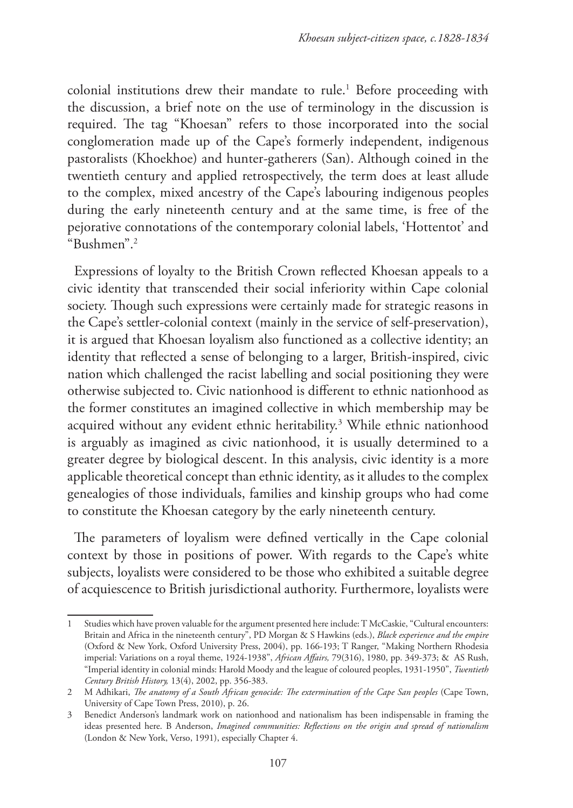colonial institutions drew their mandate to rule.<sup>1</sup> Before proceeding with the discussion, a brief note on the use of terminology in the discussion is required. The tag "Khoesan" refers to those incorporated into the social conglomeration made up of the Cape's formerly independent, indigenous pastoralists (Khoekhoe) and hunter-gatherers (San). Although coined in the twentieth century and applied retrospectively, the term does at least allude to the complex, mixed ancestry of the Cape's labouring indigenous peoples during the early nineteenth century and at the same time, is free of the pejorative connotations of the contemporary colonial labels, 'Hottentot' and "Bushmen".2

Expressions of loyalty to the British Crown reflected Khoesan appeals to a civic identity that transcended their social inferiority within Cape colonial society. Though such expressions were certainly made for strategic reasons in the Cape's settler-colonial context (mainly in the service of self-preservation), it is argued that Khoesan loyalism also functioned as a collective identity; an identity that reflected a sense of belonging to a larger, British-inspired, civic nation which challenged the racist labelling and social positioning they were otherwise subjected to. Civic nationhood is different to ethnic nationhood as the former constitutes an imagined collective in which membership may be acquired without any evident ethnic heritability.3 While ethnic nationhood is arguably as imagined as civic nationhood, it is usually determined to a greater degree by biological descent. In this analysis, civic identity is a more applicable theoretical concept than ethnic identity, as it alludes to the complex genealogies of those individuals, families and kinship groups who had come to constitute the Khoesan category by the early nineteenth century.

The parameters of loyalism were defined vertically in the Cape colonial context by those in positions of power. With regards to the Cape's white subjects, loyalists were considered to be those who exhibited a suitable degree of acquiescence to British jurisdictional authority. Furthermore, loyalists were

<sup>1</sup> Studies which have proven valuable for the argument presented here include: T McCaskie, "Cultural encounters: Britain and Africa in the nineteenth century", PD Morgan & S Hawkins (eds.), *Black experience and the empire*  (Oxford & New York, Oxford University Press, 2004), pp. 166-193; T Ranger, "Making Northern Rhodesia imperial: Variations on a royal theme, 1924-1938", *African Affairs,* 79(316), 1980, pp. 349-373; & AS Rush, "Imperial identity in colonial minds: Harold Moody and the league of coloured peoples, 1931-1950", *Twentieth Century British History,* 13(4), 2002, pp. 356-383.

<sup>2</sup> M Adhikari, *The anatomy of a South African genocide: The extermination of the Cape San peoples* (Cape Town, University of Cape Town Press, 2010), p. 26.

<sup>3</sup> Benedict Anderson's landmark work on nationhood and nationalism has been indispensable in framing the ideas presented here. B Anderson, *Imagined communities: Reflections on the origin and spread of nationalism*  (London & New York, Verso, 1991), especially Chapter 4.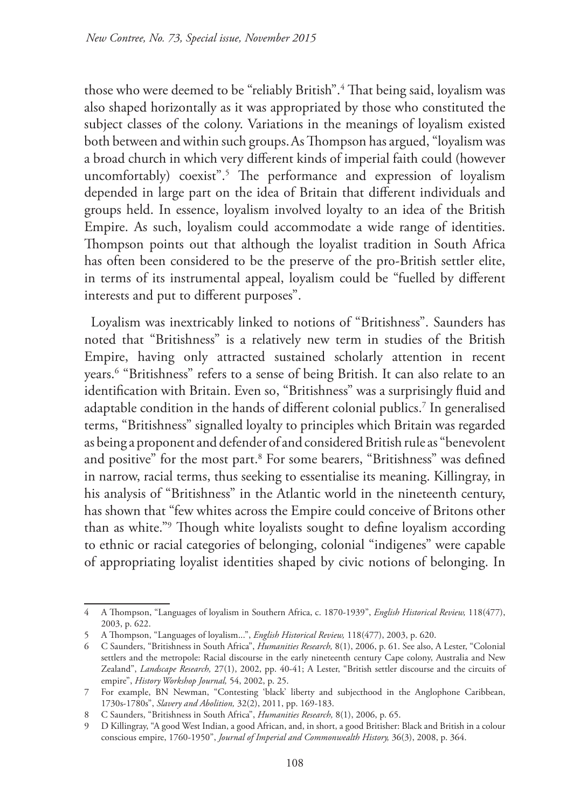those who were deemed to be "reliably British".<sup>4</sup> That being said, loyalism was also shaped horizontally as it was appropriated by those who constituted the subject classes of the colony. Variations in the meanings of loyalism existed both between and within such groups.As Thompson has argued, "loyalism was a broad church in which very different kinds of imperial faith could (however uncomfortably) coexist".5 The performance and expression of loyalism depended in large part on the idea of Britain that different individuals and groups held. In essence, loyalism involved loyalty to an idea of the British Empire. As such, loyalism could accommodate a wide range of identities. Thompson points out that although the loyalist tradition in South Africa has often been considered to be the preserve of the pro-British settler elite, in terms of its instrumental appeal, loyalism could be "fuelled by different interests and put to different purposes".

Loyalism was inextricably linked to notions of "Britishness". Saunders has noted that "Britishness" is a relatively new term in studies of the British Empire, having only attracted sustained scholarly attention in recent years.6 "Britishness" refers to a sense of being British. It can also relate to an identification with Britain. Even so, "Britishness" was a surprisingly fluid and adaptable condition in the hands of different colonial publics.7 In generalised terms, "Britishness" signalled loyalty to principles which Britain was regarded as being a proponent and defender of and considered British rule as "benevolent and positive" for the most part.<sup>8</sup> For some bearers, "Britishness" was defined in narrow, racial terms, thus seeking to essentialise its meaning. Killingray, in his analysis of "Britishness" in the Atlantic world in the nineteenth century, has shown that "few whites across the Empire could conceive of Britons other than as white."9 Though white loyalists sought to define loyalism according to ethnic or racial categories of belonging, colonial "indigenes" were capable of appropriating loyalist identities shaped by civic notions of belonging. In

<sup>4</sup> A Thompson, "Languages of loyalism in Southern Africa, c. 1870-1939", *English Historical Review,* 118(477), 2003, p. 622.

<sup>5</sup> A Thompson, "Languages of loyalism...", *English Historical Review,* 118(477), 2003, p. 620.

<sup>6</sup> C Saunders, "Britishness in South Africa", *Humanities Research,* 8(1), 2006, p. 61. See also, A Lester, "Colonial settlers and the metropole: Racial discourse in the early nineteenth century Cape colony, Australia and New Zealand", *Landscape Research,* 27(1), 2002, pp. 40-41; A Lester, "British settler discourse and the circuits of empire", *History Workshop Journal,* 54, 2002, p. 25.

<sup>7</sup> For example, BN Newman, "Contesting 'black' liberty and subjecthood in the Anglophone Caribbean, 1730s-1780s", *Slavery and Abolition,* 32(2), 2011, pp. 169-183.

<sup>8</sup> C Saunders, "Britishness in South Africa", *Humanities Research,* 8(1), 2006, p. 65.

<sup>9</sup> D Killingray, "A good West Indian, a good African, and, in short, a good Britisher: Black and British in a colour conscious empire, 1760-1950", *Journal of Imperial and Commonwealth History,* 36(3), 2008, p. 364.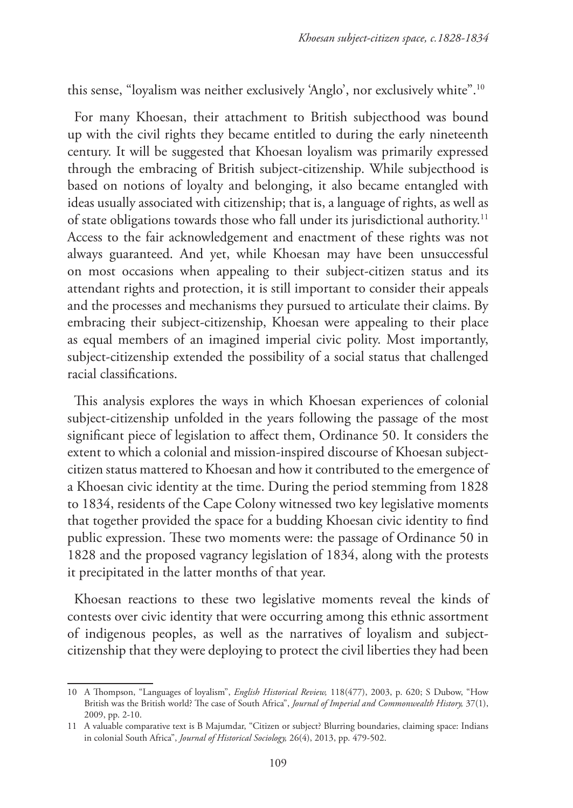this sense, "loyalism was neither exclusively 'Anglo', nor exclusively white".10

For many Khoesan, their attachment to British subjecthood was bound up with the civil rights they became entitled to during the early nineteenth century. It will be suggested that Khoesan loyalism was primarily expressed through the embracing of British subject-citizenship. While subjecthood is based on notions of loyalty and belonging, it also became entangled with ideas usually associated with citizenship; that is, a language of rights, as well as of state obligations towards those who fall under its jurisdictional authority.<sup>11</sup> Access to the fair acknowledgement and enactment of these rights was not always guaranteed. And yet, while Khoesan may have been unsuccessful on most occasions when appealing to their subject-citizen status and its attendant rights and protection, it is still important to consider their appeals and the processes and mechanisms they pursued to articulate their claims. By embracing their subject-citizenship, Khoesan were appealing to their place as equal members of an imagined imperial civic polity. Most importantly, subject-citizenship extended the possibility of a social status that challenged racial classifications.

This analysis explores the ways in which Khoesan experiences of colonial subject-citizenship unfolded in the years following the passage of the most significant piece of legislation to affect them, Ordinance 50. It considers the extent to which a colonial and mission-inspired discourse of Khoesan subjectcitizen status mattered to Khoesan and how it contributed to the emergence of a Khoesan civic identity at the time. During the period stemming from 1828 to 1834, residents of the Cape Colony witnessed two key legislative moments that together provided the space for a budding Khoesan civic identity to find public expression. These two moments were: the passage of Ordinance 50 in 1828 and the proposed vagrancy legislation of 1834, along with the protests it precipitated in the latter months of that year.

Khoesan reactions to these two legislative moments reveal the kinds of contests over civic identity that were occurring among this ethnic assortment of indigenous peoples, as well as the narratives of loyalism and subjectcitizenship that they were deploying to protect the civil liberties they had been

<sup>10</sup> A Thompson, "Languages of loyalism", *English Historical Review,* 118(477), 2003, p. 620; S Dubow, "How British was the British world? The case of South Africa", *Journal of Imperial and Commonwealth History,* 37(1), 2009, pp. 2-10.

<sup>11</sup> A valuable comparative text is B Majumdar, "Citizen or subject? Blurring boundaries, claiming space: Indians in colonial South Africa", *Journal of Historical Sociology,* 26(4), 2013, pp. 479-502.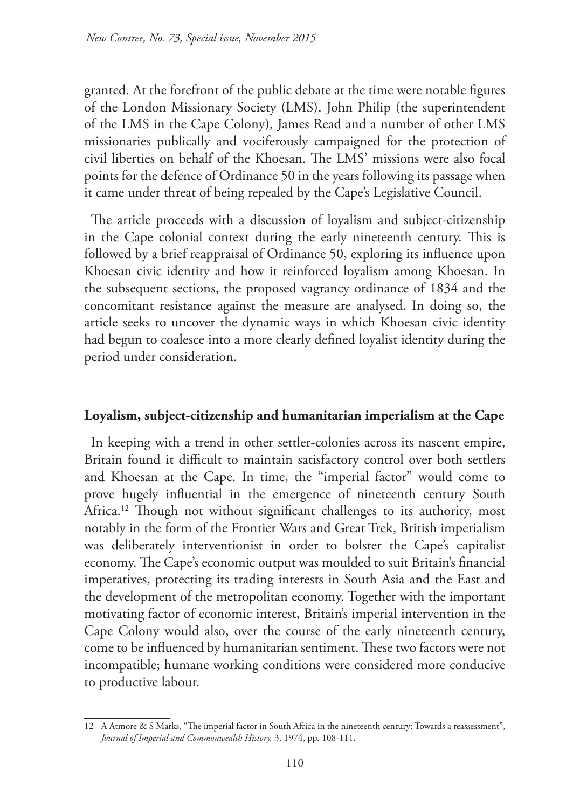granted. At the forefront of the public debate at the time were notable figures of the London Missionary Society (LMS). John Philip (the superintendent of the LMS in the Cape Colony), James Read and a number of other LMS missionaries publically and vociferously campaigned for the protection of civil liberties on behalf of the Khoesan. The LMS' missions were also focal points for the defence of Ordinance 50 in the years following its passage when it came under threat of being repealed by the Cape's Legislative Council.

The article proceeds with a discussion of loyalism and subject-citizenship in the Cape colonial context during the early nineteenth century. This is followed by a brief reappraisal of Ordinance 50, exploring its influence upon Khoesan civic identity and how it reinforced loyalism among Khoesan. In the subsequent sections, the proposed vagrancy ordinance of 1834 and the concomitant resistance against the measure are analysed. In doing so, the article seeks to uncover the dynamic ways in which Khoesan civic identity had begun to coalesce into a more clearly defined loyalist identity during the period under consideration.

## **Loyalism, subject-citizenship and humanitarian imperialism at the Cape**

In keeping with a trend in other settler-colonies across its nascent empire, Britain found it difficult to maintain satisfactory control over both settlers and Khoesan at the Cape. In time, the "imperial factor" would come to prove hugely influential in the emergence of nineteenth century South Africa.<sup>12</sup> Though not without significant challenges to its authority, most notably in the form of the Frontier Wars and Great Trek, British imperialism was deliberately interventionist in order to bolster the Cape's capitalist economy. The Cape's economic output was moulded to suit Britain's financial imperatives, protecting its trading interests in South Asia and the East and the development of the metropolitan economy. Together with the important motivating factor of economic interest, Britain's imperial intervention in the Cape Colony would also, over the course of the early nineteenth century, come to be influenced by humanitarian sentiment. These two factors were not incompatible; humane working conditions were considered more conducive to productive labour.

<sup>12</sup> A Atmore & S Marks, "The imperial factor in South Africa in the nineteenth century: Towards a reassessment", *Journal of Imperial and Commonwealth History,* 3, 1974, pp. 108-111.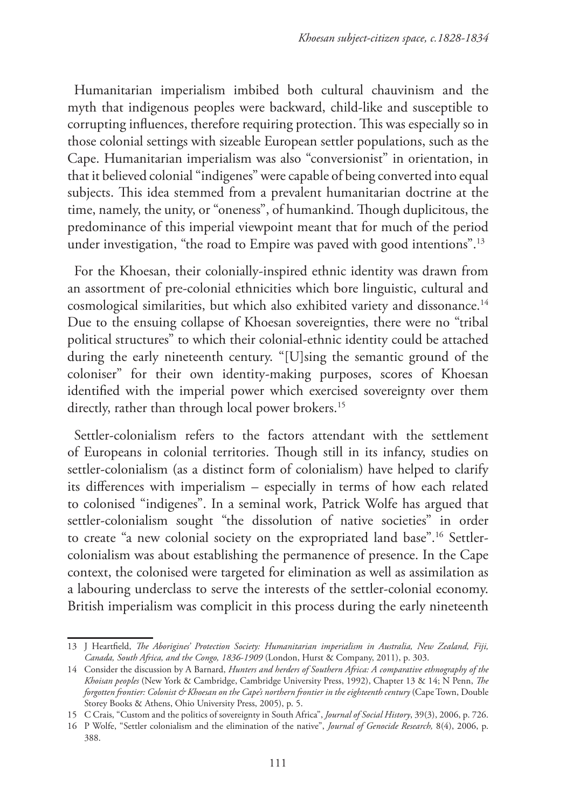Humanitarian imperialism imbibed both cultural chauvinism and the myth that indigenous peoples were backward, child-like and susceptible to corrupting influences, therefore requiring protection. This was especially so in those colonial settings with sizeable European settler populations, such as the Cape. Humanitarian imperialism was also "conversionist" in orientation, in that it believed colonial "indigenes" were capable of being converted into equal subjects. This idea stemmed from a prevalent humanitarian doctrine at the time, namely, the unity, or "oneness", of humankind. Though duplicitous, the predominance of this imperial viewpoint meant that for much of the period under investigation, "the road to Empire was paved with good intentions".<sup>13</sup>

For the Khoesan, their colonially-inspired ethnic identity was drawn from an assortment of pre-colonial ethnicities which bore linguistic, cultural and cosmological similarities, but which also exhibited variety and dissonance.<sup>14</sup> Due to the ensuing collapse of Khoesan sovereignties, there were no "tribal political structures" to which their colonial-ethnic identity could be attached during the early nineteenth century. "[U]sing the semantic ground of the coloniser" for their own identity-making purposes, scores of Khoesan identified with the imperial power which exercised sovereignty over them directly, rather than through local power brokers.<sup>15</sup>

Settler-colonialism refers to the factors attendant with the settlement of Europeans in colonial territories. Though still in its infancy, studies on settler-colonialism (as a distinct form of colonialism) have helped to clarify its differences with imperialism – especially in terms of how each related to colonised "indigenes". In a seminal work, Patrick Wolfe has argued that settler-colonialism sought "the dissolution of native societies" in order to create "a new colonial society on the expropriated land base".16 Settlercolonialism was about establishing the permanence of presence. In the Cape context, the colonised were targeted for elimination as well as assimilation as a labouring underclass to serve the interests of the settler-colonial economy. British imperialism was complicit in this process during the early nineteenth

<sup>13</sup> J Heartfield, *The Aborigines' Protection Society: Humanitarian imperialism in Australia, New Zealand, Fiji, Canada, South Africa, and the Congo, 1836-1909* (London, Hurst & Company, 2011), p. 303.

<sup>14</sup> Consider the discussion by A Barnard, *Hunters and herders of Southern Africa: A comparative ethnography of the Khoisan peoples* (New York & Cambridge, Cambridge University Press, 1992), Chapter 13 & 14; N Penn, *The forgotten frontier: Colonist & Khoesan on the Cape's northern frontier in the eighteenth century* (Cape Town, Double Storey Books & Athens, Ohio University Press, 2005), p. 5.

<sup>15</sup> C Crais, "Custom and the politics of sovereignty in South Africa", *Journal of Social History*, 39(3), 2006, p. 726.

<sup>16</sup> P Wolfe, "Settler colonialism and the elimination of the native", *Journal of Genocide Research,* 8(4), 2006, p. 388.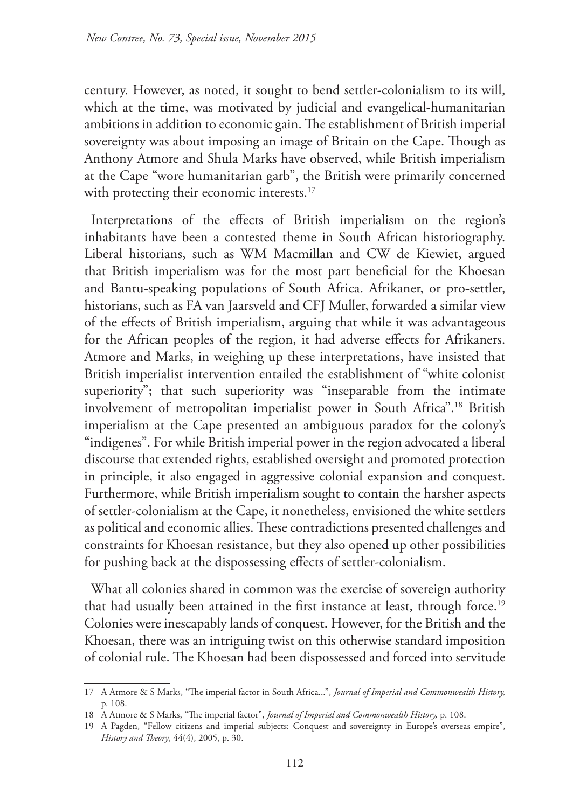century. However, as noted, it sought to bend settler-colonialism to its will, which at the time, was motivated by judicial and evangelical-humanitarian ambitions in addition to economic gain. The establishment of British imperial sovereignty was about imposing an image of Britain on the Cape. Though as Anthony Atmore and Shula Marks have observed, while British imperialism at the Cape "wore humanitarian garb", the British were primarily concerned with protecting their economic interests.<sup>17</sup>

Interpretations of the effects of British imperialism on the region's inhabitants have been a contested theme in South African historiography. Liberal historians, such as WM Macmillan and CW de Kiewiet, argued that British imperialism was for the most part beneficial for the Khoesan and Bantu-speaking populations of South Africa. Afrikaner, or pro-settler, historians, such as FA van Jaarsveld and CFJ Muller, forwarded a similar view of the effects of British imperialism, arguing that while it was advantageous for the African peoples of the region, it had adverse effects for Afrikaners. Atmore and Marks, in weighing up these interpretations, have insisted that British imperialist intervention entailed the establishment of "white colonist superiority"; that such superiority was "inseparable from the intimate involvement of metropolitan imperialist power in South Africa".18 British imperialism at the Cape presented an ambiguous paradox for the colony's "indigenes". For while British imperial power in the region advocated a liberal discourse that extended rights, established oversight and promoted protection in principle, it also engaged in aggressive colonial expansion and conquest. Furthermore, while British imperialism sought to contain the harsher aspects of settler-colonialism at the Cape, it nonetheless, envisioned the white settlers as political and economic allies. These contradictions presented challenges and constraints for Khoesan resistance, but they also opened up other possibilities for pushing back at the dispossessing effects of settler-colonialism.

What all colonies shared in common was the exercise of sovereign authority that had usually been attained in the first instance at least, through force.<sup>19</sup> Colonies were inescapably lands of conquest. However, for the British and the Khoesan, there was an intriguing twist on this otherwise standard imposition of colonial rule. The Khoesan had been dispossessed and forced into servitude

<sup>17</sup> A Atmore & S Marks, "The imperial factor in South Africa...", *Journal of Imperial and Commonwealth History,* p. 108.

<sup>18</sup> A Atmore & S Marks, "The imperial factor", *Journal of Imperial and Commonwealth History,* p. 108.

<sup>19</sup> A Pagden, "Fellow citizens and imperial subjects: Conquest and sovereignty in Europe's overseas empire", *History and Theory*, 44(4), 2005, p. 30.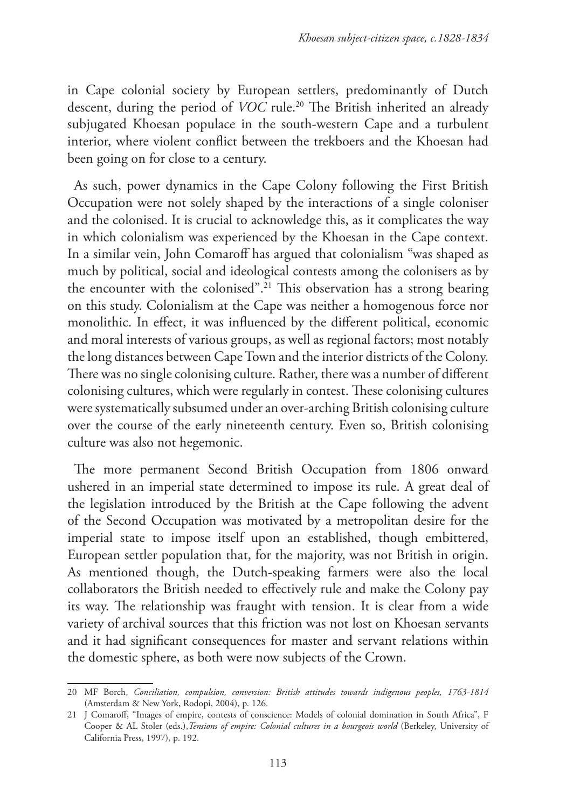in Cape colonial society by European settlers, predominantly of Dutch descent, during the period of *VOC* rule.<sup>20</sup> The British inherited an already subjugated Khoesan populace in the south-western Cape and a turbulent interior, where violent conflict between the trekboers and the Khoesan had been going on for close to a century.

As such, power dynamics in the Cape Colony following the First British Occupation were not solely shaped by the interactions of a single coloniser and the colonised. It is crucial to acknowledge this, as it complicates the way in which colonialism was experienced by the Khoesan in the Cape context. In a similar vein, John Comaroff has argued that colonialism "was shaped as much by political, social and ideological contests among the colonisers as by the encounter with the colonised".21 This observation has a strong bearing on this study. Colonialism at the Cape was neither a homogenous force nor monolithic. In effect, it was influenced by the different political, economic and moral interests of various groups, as well as regional factors; most notably the long distances between Cape Town and the interior districts of the Colony. There was no single colonising culture. Rather, there was a number of different colonising cultures, which were regularly in contest. These colonising cultures were systematically subsumed under an over-arching British colonising culture over the course of the early nineteenth century. Even so, British colonising culture was also not hegemonic.

The more permanent Second British Occupation from 1806 onward ushered in an imperial state determined to impose its rule. A great deal of the legislation introduced by the British at the Cape following the advent of the Second Occupation was motivated by a metropolitan desire for the imperial state to impose itself upon an established, though embittered, European settler population that, for the majority, was not British in origin. As mentioned though, the Dutch-speaking farmers were also the local collaborators the British needed to effectively rule and make the Colony pay its way. The relationship was fraught with tension. It is clear from a wide variety of archival sources that this friction was not lost on Khoesan servants and it had significant consequences for master and servant relations within the domestic sphere, as both were now subjects of the Crown.

<sup>20</sup> MF Borch, *Conciliation, compulsion, conversion: British attitudes towards indigenous peoples, 1763-1814*  (Amsterdam & New York, Rodopi, 2004), p. 126.

<sup>21</sup> J Comaroff, "Images of empire, contests of conscience: Models of colonial domination in South Africa", F Cooper & AL Stoler (eds.), *Tensions of empire: Colonial cultures in a bourgeois world* (Berkeley, University of California Press, 1997), p. 192.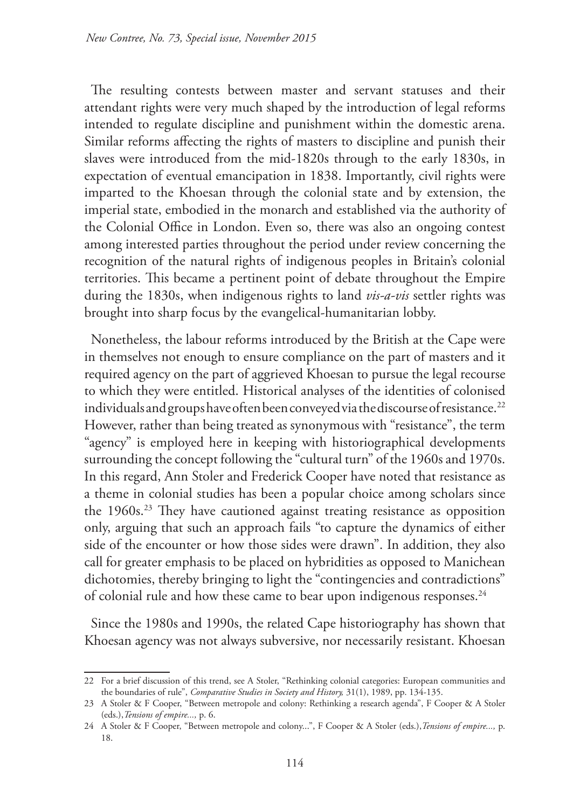The resulting contests between master and servant statuses and their attendant rights were very much shaped by the introduction of legal reforms intended to regulate discipline and punishment within the domestic arena. Similar reforms affecting the rights of masters to discipline and punish their slaves were introduced from the mid-1820s through to the early 1830s, in expectation of eventual emancipation in 1838. Importantly, civil rights were imparted to the Khoesan through the colonial state and by extension, the imperial state, embodied in the monarch and established via the authority of the Colonial Office in London. Even so, there was also an ongoing contest among interested parties throughout the period under review concerning the recognition of the natural rights of indigenous peoples in Britain's colonial territories. This became a pertinent point of debate throughout the Empire during the 1830s, when indigenous rights to land *vis-a-vis* settler rights was brought into sharp focus by the evangelical-humanitarian lobby.

Nonetheless, the labour reforms introduced by the British at the Cape were in themselves not enough to ensure compliance on the part of masters and it required agency on the part of aggrieved Khoesan to pursue the legal recourse to which they were entitled. Historical analyses of the identities of colonised individuals and groups have often been conveyed via the discourse of resistance.<sup>22</sup> However, rather than being treated as synonymous with "resistance", the term "agency" is employed here in keeping with historiographical developments surrounding the concept following the "cultural turn" of the 1960s and 1970s. In this regard, Ann Stoler and Frederick Cooper have noted that resistance as a theme in colonial studies has been a popular choice among scholars since the 1960s.<sup>23</sup> They have cautioned against treating resistance as opposition only, arguing that such an approach fails "to capture the dynamics of either side of the encounter or how those sides were drawn". In addition, they also call for greater emphasis to be placed on hybridities as opposed to Manichean dichotomies, thereby bringing to light the "contingencies and contradictions" of colonial rule and how these came to bear upon indigenous responses.<sup>24</sup>

Since the 1980s and 1990s, the related Cape historiography has shown that Khoesan agency was not always subversive, nor necessarily resistant. Khoesan

<sup>22</sup> For a brief discussion of this trend, see A Stoler, "Rethinking colonial categories: European communities and the boundaries of rule", *Comparative Studies in Society and History,* 31(1), 1989, pp. 134-135.

<sup>23</sup> A Stoler & F Cooper, "Between metropole and colony: Rethinking a research agenda", F Cooper & A Stoler (eds.),*Tensions of empire...,* p. 6.

<sup>24</sup> A Stoler & F Cooper, "Between metropole and colony...", F Cooper & A Stoler (eds.),*Tensions of empire...,* p. 18.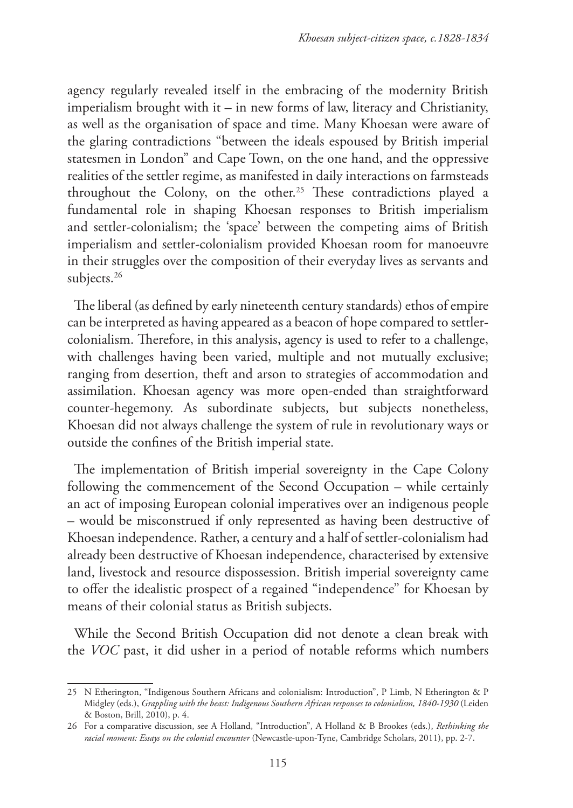agency regularly revealed itself in the embracing of the modernity British imperialism brought with it – in new forms of law, literacy and Christianity, as well as the organisation of space and time. Many Khoesan were aware of the glaring contradictions "between the ideals espoused by British imperial statesmen in London" and Cape Town, on the one hand, and the oppressive realities of the settler regime, as manifested in daily interactions on farmsteads throughout the Colony, on the other.<sup>25</sup> These contradictions played a fundamental role in shaping Khoesan responses to British imperialism and settler-colonialism; the 'space' between the competing aims of British imperialism and settler-colonialism provided Khoesan room for manoeuvre in their struggles over the composition of their everyday lives as servants and subjects.<sup>26</sup>

The liberal (as defined by early nineteenth century standards) ethos of empire can be interpreted as having appeared as a beacon of hope compared to settlercolonialism. Therefore, in this analysis, agency is used to refer to a challenge, with challenges having been varied, multiple and not mutually exclusive; ranging from desertion, theft and arson to strategies of accommodation and assimilation. Khoesan agency was more open-ended than straightforward counter-hegemony. As subordinate subjects, but subjects nonetheless, Khoesan did not always challenge the system of rule in revolutionary ways or outside the confines of the British imperial state.

The implementation of British imperial sovereignty in the Cape Colony following the commencement of the Second Occupation – while certainly an act of imposing European colonial imperatives over an indigenous people – would be misconstrued if only represented as having been destructive of Khoesan independence. Rather, a century and a half of settler-colonialism had already been destructive of Khoesan independence, characterised by extensive land, livestock and resource dispossession. British imperial sovereignty came to offer the idealistic prospect of a regained "independence" for Khoesan by means of their colonial status as British subjects.

While the Second British Occupation did not denote a clean break with the *VOC* past, it did usher in a period of notable reforms which numbers

<sup>25</sup> N Etherington, "Indigenous Southern Africans and colonialism: Introduction", P Limb, N Etherington & P Midgley (eds.), *Grappling with the beast: Indigenous Southern African responses to colonialism, 1840-1930* (Leiden & Boston, Brill, 2010), p. 4.

<sup>26</sup> For a comparative discussion, see A Holland, "Introduction", A Holland & B Brookes (eds.), *Rethinking the racial moment: Essays on the colonial encounter* (Newcastle-upon-Tyne, Cambridge Scholars, 2011), pp. 2-7.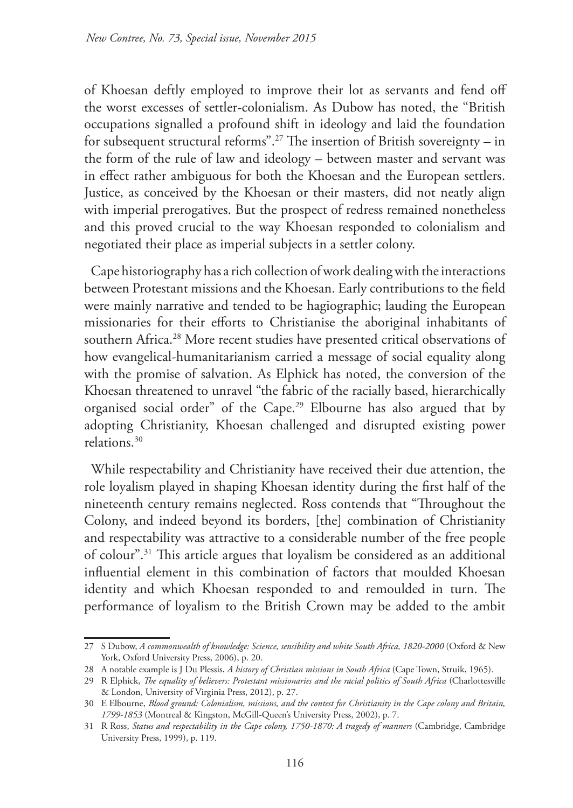of Khoesan deftly employed to improve their lot as servants and fend off the worst excesses of settler-colonialism. As Dubow has noted, the "British occupations signalled a profound shift in ideology and laid the foundation for subsequent structural reforms".<sup>27</sup> The insertion of British sovereignty – in the form of the rule of law and ideology – between master and servant was in effect rather ambiguous for both the Khoesan and the European settlers. Justice, as conceived by the Khoesan or their masters, did not neatly align with imperial prerogatives. But the prospect of redress remained nonetheless and this proved crucial to the way Khoesan responded to colonialism and negotiated their place as imperial subjects in a settler colony.

Cape historiography has a rich collection of work dealing with the interactions between Protestant missions and the Khoesan. Early contributions to the field were mainly narrative and tended to be hagiographic; lauding the European missionaries for their efforts to Christianise the aboriginal inhabitants of southern Africa.<sup>28</sup> More recent studies have presented critical observations of how evangelical-humanitarianism carried a message of social equality along with the promise of salvation. As Elphick has noted, the conversion of the Khoesan threatened to unravel "the fabric of the racially based, hierarchically organised social order" of the Cape.29 Elbourne has also argued that by adopting Christianity, Khoesan challenged and disrupted existing power relations.30

While respectability and Christianity have received their due attention, the role loyalism played in shaping Khoesan identity during the first half of the nineteenth century remains neglected. Ross contends that "Throughout the Colony, and indeed beyond its borders, [the] combination of Christianity and respectability was attractive to a considerable number of the free people of colour".31 This article argues that loyalism be considered as an additional influential element in this combination of factors that moulded Khoesan identity and which Khoesan responded to and remoulded in turn. The performance of loyalism to the British Crown may be added to the ambit

<sup>27</sup> S Dubow, *A commonwealth of knowledge: Science, sensibility and white South Africa, 1820-2000* (Oxford & New York, Oxford University Press, 2006), p. 20.

<sup>28</sup> A notable example is J Du Plessis, *A history of Christian missions in South Africa* (Cape Town, Struik, 1965).

<sup>29</sup> R Elphick, *The equality of believers: Protestant missionaries and the racial politics of South Africa* (Charlottesville & London, University of Virginia Press, 2012), p. 27.

<sup>30</sup> E Elbourne, *Blood ground: Colonialism, missions, and the contest for Christianity in the Cape colony and Britain, 1799-1853* (Montreal & Kingston, McGill-Queen's University Press, 2002), p. 7.

<sup>31</sup> R Ross, *Status and respectability in the Cape colony, 1750-1870: A tragedy of manners* (Cambridge, Cambridge University Press, 1999), p. 119.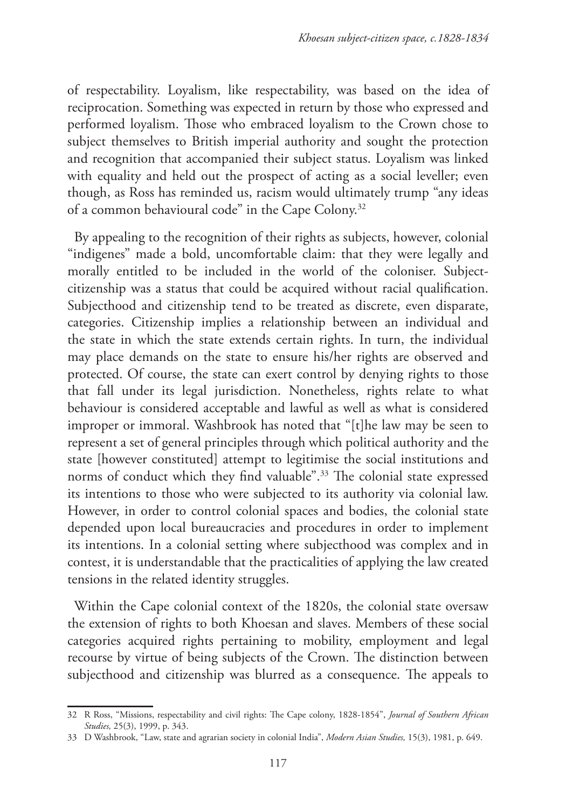of respectability. Loyalism, like respectability, was based on the idea of reciprocation. Something was expected in return by those who expressed and performed loyalism. Those who embraced loyalism to the Crown chose to subject themselves to British imperial authority and sought the protection and recognition that accompanied their subject status. Loyalism was linked with equality and held out the prospect of acting as a social leveller; even though, as Ross has reminded us, racism would ultimately trump "any ideas of a common behavioural code" in the Cape Colony.32

By appealing to the recognition of their rights as subjects, however, colonial "indigenes" made a bold, uncomfortable claim: that they were legally and morally entitled to be included in the world of the coloniser. Subjectcitizenship was a status that could be acquired without racial qualification. Subjecthood and citizenship tend to be treated as discrete, even disparate, categories. Citizenship implies a relationship between an individual and the state in which the state extends certain rights. In turn, the individual may place demands on the state to ensure his/her rights are observed and protected. Of course, the state can exert control by denying rights to those that fall under its legal jurisdiction. Nonetheless, rights relate to what behaviour is considered acceptable and lawful as well as what is considered improper or immoral. Washbrook has noted that "[t]he law may be seen to represent a set of general principles through which political authority and the state [however constituted] attempt to legitimise the social institutions and norms of conduct which they find valuable".33 The colonial state expressed its intentions to those who were subjected to its authority via colonial law. However, in order to control colonial spaces and bodies, the colonial state depended upon local bureaucracies and procedures in order to implement its intentions. In a colonial setting where subjecthood was complex and in contest, it is understandable that the practicalities of applying the law created tensions in the related identity struggles.

Within the Cape colonial context of the 1820s, the colonial state oversaw the extension of rights to both Khoesan and slaves. Members of these social categories acquired rights pertaining to mobility, employment and legal recourse by virtue of being subjects of the Crown. The distinction between subjecthood and citizenship was blurred as a consequence. The appeals to

<sup>32</sup> R Ross, "Missions, respectability and civil rights: The Cape colony, 1828-1854", *Journal of Southern African Studies,* 25(3), 1999, p. 343.

<sup>33</sup> D Washbrook, "Law, state and agrarian society in colonial India", *Modern Asian Studies,* 15(3), 1981, p. 649.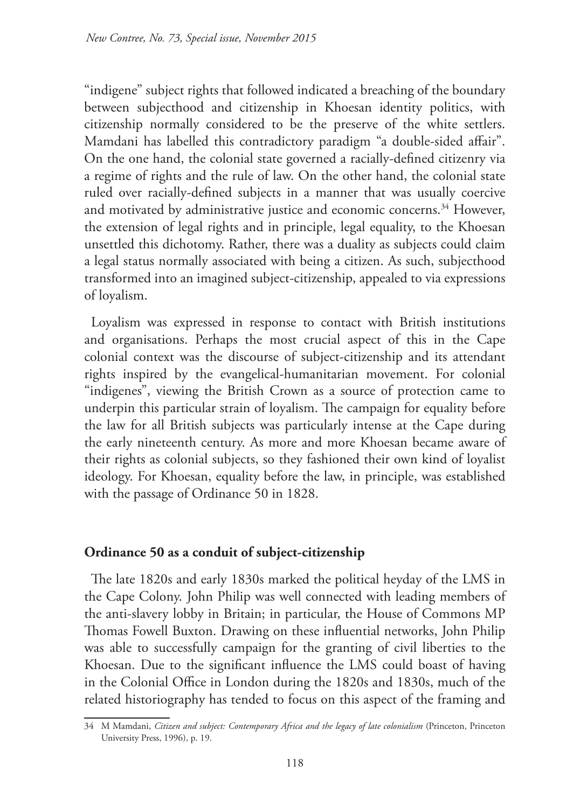"indigene" subject rights that followed indicated a breaching of the boundary between subjecthood and citizenship in Khoesan identity politics, with citizenship normally considered to be the preserve of the white settlers. Mamdani has labelled this contradictory paradigm "a double-sided affair". On the one hand, the colonial state governed a racially-defined citizenry via a regime of rights and the rule of law. On the other hand, the colonial state ruled over racially-defined subjects in a manner that was usually coercive and motivated by administrative justice and economic concerns.<sup>34</sup> However, the extension of legal rights and in principle, legal equality, to the Khoesan unsettled this dichotomy. Rather, there was a duality as subjects could claim a legal status normally associated with being a citizen. As such, subjecthood transformed into an imagined subject-citizenship, appealed to via expressions of loyalism.

Loyalism was expressed in response to contact with British institutions and organisations. Perhaps the most crucial aspect of this in the Cape colonial context was the discourse of subject-citizenship and its attendant rights inspired by the evangelical-humanitarian movement. For colonial "indigenes", viewing the British Crown as a source of protection came to underpin this particular strain of loyalism. The campaign for equality before the law for all British subjects was particularly intense at the Cape during the early nineteenth century. As more and more Khoesan became aware of their rights as colonial subjects, so they fashioned their own kind of loyalist ideology. For Khoesan, equality before the law, in principle, was established with the passage of Ordinance 50 in 1828.

## **Ordinance 50 as a conduit of subject-citizenship**

The late 1820s and early 1830s marked the political heyday of the LMS in the Cape Colony. John Philip was well connected with leading members of the anti-slavery lobby in Britain; in particular, the House of Commons MP Thomas Fowell Buxton. Drawing on these influential networks, John Philip was able to successfully campaign for the granting of civil liberties to the Khoesan. Due to the significant influence the LMS could boast of having in the Colonial Office in London during the 1820s and 1830s, much of the related historiography has tended to focus on this aspect of the framing and

<sup>34</sup> M Mamdani, *Citizen and subject: Contemporary Africa and the legacy of late colonialism* (Princeton, Princeton University Press, 1996), p. 19.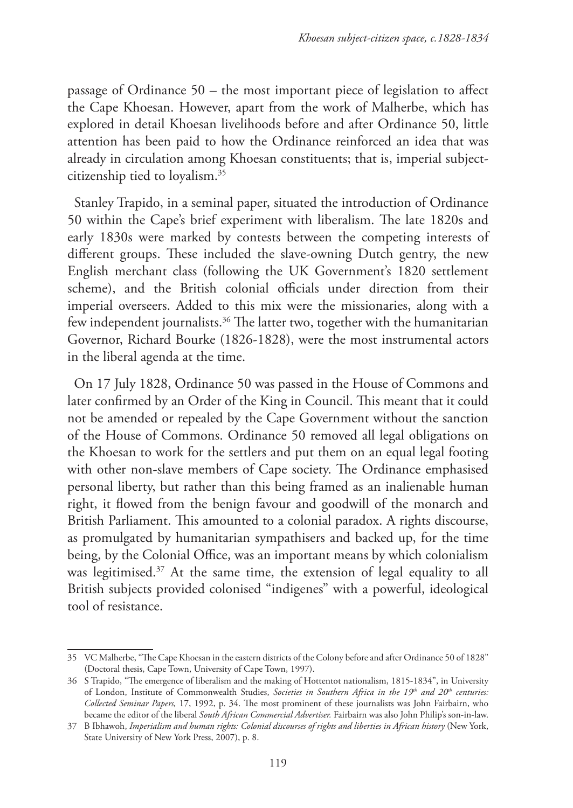passage of Ordinance 50 – the most important piece of legislation to affect the Cape Khoesan. However, apart from the work of Malherbe, which has explored in detail Khoesan livelihoods before and after Ordinance 50, little attention has been paid to how the Ordinance reinforced an idea that was already in circulation among Khoesan constituents; that is, imperial subjectcitizenship tied to loyalism.35

Stanley Trapido, in a seminal paper, situated the introduction of Ordinance 50 within the Cape's brief experiment with liberalism. The late 1820s and early 1830s were marked by contests between the competing interests of different groups. These included the slave-owning Dutch gentry, the new English merchant class (following the UK Government's 1820 settlement scheme), and the British colonial officials under direction from their imperial overseers. Added to this mix were the missionaries, along with a few independent journalists.<sup>36</sup> The latter two, together with the humanitarian Governor, Richard Bourke (1826-1828), were the most instrumental actors in the liberal agenda at the time.

On 17 July 1828, Ordinance 50 was passed in the House of Commons and later confirmed by an Order of the King in Council. This meant that it could not be amended or repealed by the Cape Government without the sanction of the House of Commons. Ordinance 50 removed all legal obligations on the Khoesan to work for the settlers and put them on an equal legal footing with other non-slave members of Cape society. The Ordinance emphasised personal liberty, but rather than this being framed as an inalienable human right, it flowed from the benign favour and goodwill of the monarch and British Parliament. This amounted to a colonial paradox. A rights discourse, as promulgated by humanitarian sympathisers and backed up, for the time being, by the Colonial Office, was an important means by which colonialism was legitimised.<sup>37</sup> At the same time, the extension of legal equality to all British subjects provided colonised "indigenes" with a powerful, ideological tool of resistance.

<sup>35</sup> VC Malherbe, "The Cape Khoesan in the eastern districts of the Colony before and after Ordinance 50 of 1828" (Doctoral thesis, Cape Town, University of Cape Town, 1997).

<sup>36</sup> S Trapido, "The emergence of liberalism and the making of Hottentot nationalism, 1815-1834", in University of London, Institute of Commonwealth Studies, *Societies in Southern Africa in the 19th and 20th centuries: Collected Seminar Papers,* 17, 1992, p. 34. The most prominent of these journalists was John Fairbairn, who became the editor of the liberal *South African Commercial Advertiser.* Fairbairn was also John Philip's son-in-law.

<sup>37</sup> B Ibhawoh, *Imperialism and human rights: Colonial discourses of rights and liberties in African history* (New York, State University of New York Press, 2007), p. 8.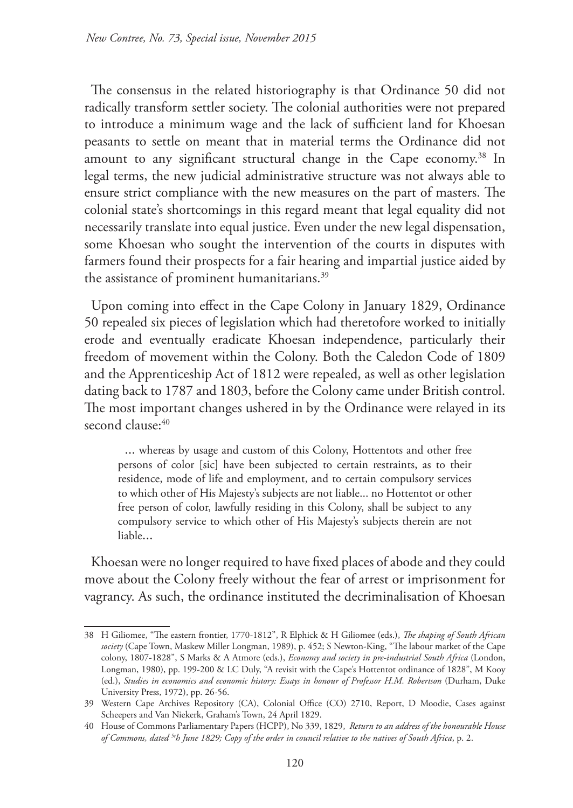The consensus in the related historiography is that Ordinance 50 did not radically transform settler society. The colonial authorities were not prepared to introduce a minimum wage and the lack of sufficient land for Khoesan peasants to settle on meant that in material terms the Ordinance did not amount to any significant structural change in the Cape economy.<sup>38</sup> In legal terms, the new judicial administrative structure was not always able to ensure strict compliance with the new measures on the part of masters. The colonial state's shortcomings in this regard meant that legal equality did not necessarily translate into equal justice. Even under the new legal dispensation, some Khoesan who sought the intervention of the courts in disputes with farmers found their prospects for a fair hearing and impartial justice aided by the assistance of prominent humanitarians.<sup>39</sup>

Upon coming into effect in the Cape Colony in January 1829, Ordinance 50 repealed six pieces of legislation which had theretofore worked to initially erode and eventually eradicate Khoesan independence, particularly their freedom of movement within the Colony. Both the Caledon Code of 1809 and the Apprenticeship Act of 1812 were repealed, as well as other legislation dating back to 1787 and 1803, before the Colony came under British control. The most important changes ushered in by the Ordinance were relayed in its second clause: 40

... whereas by usage and custom of this Colony, Hottentots and other free persons of color [sic] have been subjected to certain restraints, as to their residence, mode of life and employment, and to certain compulsory services to which other of His Majesty's subjects are not liable... no Hottentot or other free person of color, lawfully residing in this Colony, shall be subject to any compulsory service to which other of His Majesty's subjects therein are not liable...

Khoesan were no longer required to have fixed places of abode and they could move about the Colony freely without the fear of arrest or imprisonment for vagrancy. As such, the ordinance instituted the decriminalisation of Khoesan

<sup>38</sup> H Giliomee, "The eastern frontier, 1770-1812", R Elphick & H Giliomee (eds.), *The shaping of South African society* (Cape Town, Maskew Miller Longman, 1989), p. 452; S Newton-King, "The labour market of the Cape colony, 1807-1828", S Marks & A Atmore (eds.), *Economy and society in pre-industrial South Africa* (London, Longman, 1980), pp. 199-200 & LC Duly, "A revisit with the Cape's Hottentot ordinance of 1828", M Kooy (ed.), *Studies in economics and economic history: Essays in honour of Professor H.M. Robertson* (Durham, Duke University Press, 1972), pp. 26-56.

<sup>39</sup> Western Cape Archives Repository (CA), Colonial Office (CO) 2710, Report, D Moodie, Cases against Scheepers and Van Niekerk, Graham's Town, 24 April 1829.

<sup>40</sup> House of Commons Parliamentary Papers (HCPP), No 339, 1829, *Return to an address of the honourable House of Commons, dated 5th June 1829; Copy of the order in council relative to the natives of South Africa*, p. 2.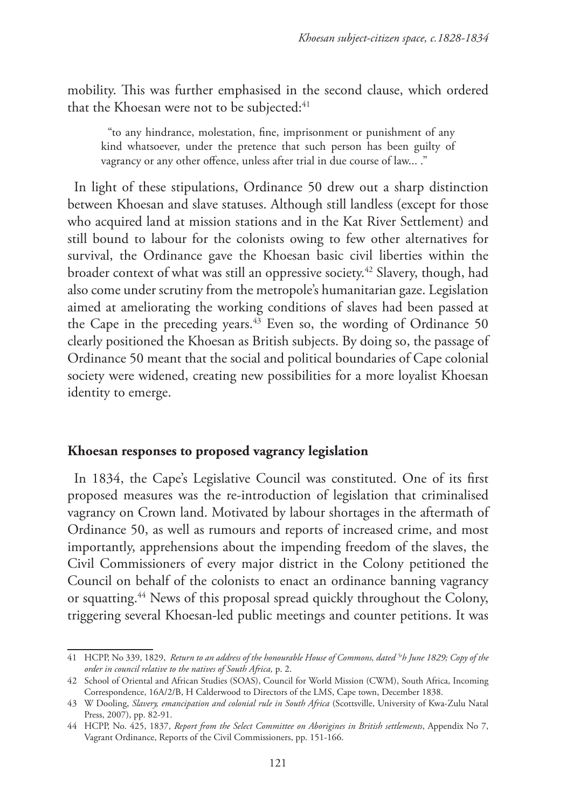mobility. This was further emphasised in the second clause, which ordered that the Khoesan were not to be subjected:<sup>41</sup>

"to any hindrance, molestation, fine, imprisonment or punishment of any kind whatsoever, under the pretence that such person has been guilty of vagrancy or any other offence, unless after trial in due course of law... ."

In light of these stipulations, Ordinance 50 drew out a sharp distinction between Khoesan and slave statuses. Although still landless (except for those who acquired land at mission stations and in the Kat River Settlement) and still bound to labour for the colonists owing to few other alternatives for survival, the Ordinance gave the Khoesan basic civil liberties within the broader context of what was still an oppressive society.42 Slavery, though, had also come under scrutiny from the metropole's humanitarian gaze. Legislation aimed at ameliorating the working conditions of slaves had been passed at the Cape in the preceding years.43 Even so, the wording of Ordinance 50 clearly positioned the Khoesan as British subjects. By doing so, the passage of Ordinance 50 meant that the social and political boundaries of Cape colonial society were widened, creating new possibilities for a more loyalist Khoesan identity to emerge.

#### **Khoesan responses to proposed vagrancy legislation**

In 1834, the Cape's Legislative Council was constituted. One of its first proposed measures was the re-introduction of legislation that criminalised vagrancy on Crown land. Motivated by labour shortages in the aftermath of Ordinance 50, as well as rumours and reports of increased crime, and most importantly, apprehensions about the impending freedom of the slaves, the Civil Commissioners of every major district in the Colony petitioned the Council on behalf of the colonists to enact an ordinance banning vagrancy or squatting.44 News of this proposal spread quickly throughout the Colony, triggering several Khoesan-led public meetings and counter petitions. It was

<sup>41</sup> HCPP, No 339, 1829, *Return to an address of the honourable House of Commons, dated 5th June 1829; Copy of the order in council relative to the natives of South Africa,* p. 2.

<sup>42</sup> School of Oriental and African Studies (SOAS), Council for World Mission (CWM), South Africa, Incoming Correspondence, 16A/2/B, H Calderwood to Directors of the LMS, Cape town, December 1838.

<sup>43</sup> W Dooling, *Slavery, emancipation and colonial rule in South Africa* (Scottsville, University of Kwa-Zulu Natal Press, 2007), pp. 82-91.

<sup>44</sup> HCPP, No. 425, 1837, *Report from the Select Committee on Aborigines in British settlements*, Appendix No 7, Vagrant Ordinance, Reports of the Civil Commissioners, pp. 151-166.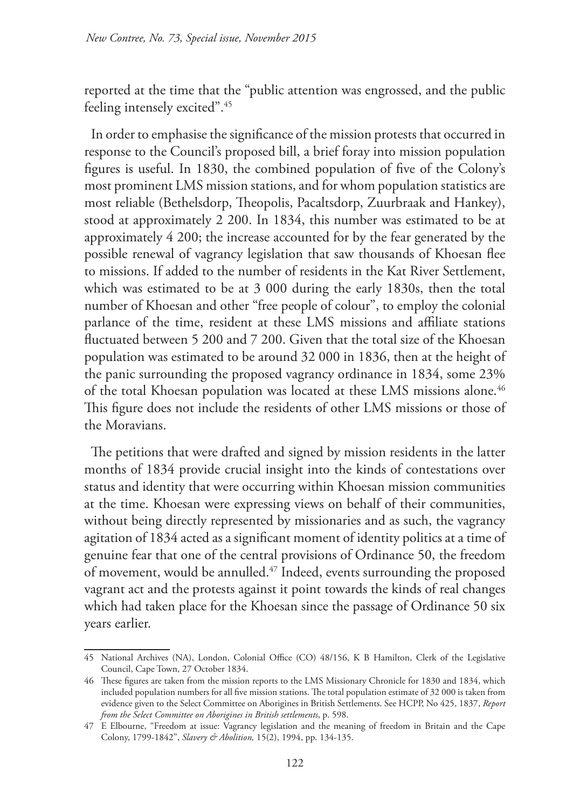reported at the time that the "public attention was engrossed, and the public feeling intensely excited".<sup>45</sup>

In order to emphasise the significance of the mission protests that occurred in response to the Council's proposed bill, a brief foray into mission population figures is useful. In 1830, the combined population of five of the Colony's most prominent LMS mission stations, and for whom population statistics are most reliable (Bethelsdorp, Theopolis, Pacaltsdorp, Zuurbraak and Hankey), stood at approximately 2 200. In 1834, this number was estimated to be at approximately 4 200; the increase accounted for by the fear generated by the possible renewal of vagrancy legislation that saw thousands of Khoesan flee to missions. If added to the number of residents in the Kat River Settlement, which was estimated to be at 3 000 during the early 1830s, then the total number of Khoesan and other "free people of colour", to employ the colonial parlance of the time, resident at these LMS missions and affiliate stations fluctuated between 5 200 and 7 200. Given that the total size of the Khoesan population was estimated to be around 32 000 in 1836, then at the height of the panic surrounding the proposed vagrancy ordinance in 1834, some 23% of the total Khoesan population was located at these LMS missions alone.<sup>46</sup> This figure does not include the residents of other LMS missions or those of the Moravians.

The petitions that were drafted and signed by mission residents in the latter months of 1834 provide crucial insight into the kinds of contestations over status and identity that were occurring within Khoesan mission communities at the time. Khoesan were expressing views on behalf of their communities, without being directly represented by missionaries and as such, the vagrancy agitation of 1834 acted as a significant moment of identity politics at a time of genuine fear that one of the central provisions of Ordinance 50, the freedom of movement, would be annulled.47 Indeed, events surrounding the proposed vagrant act and the protests against it point towards the kinds of real changes which had taken place for the Khoesan since the passage of Ordinance 50 six years earlier.

<sup>45</sup> National Archives (NA), London, Colonial Office (CO) 48/156, K B Hamilton, Clerk of the Legislative Council, Cape Town, 27 October 1834.

<sup>46</sup> These figures are taken from the mission reports to the LMS Missionary Chronicle for 1830 and 1834, which included population numbers for all five mission stations. The total population estimate of 32 000 is taken from evidence given to the Select Committee on Aborigines in British Settlements. See HCPP, No 425, 1837, *Report from the Select Committee on Aborigines in British settlements*, p. 598.

<sup>47</sup> E Elbourne, "Freedom at issue: Vagrancy legislation and the meaning of freedom in Britain and the Cape Colony, 1799-1842", *Slavery & Abolition,* 15(2), 1994, pp. 134-135.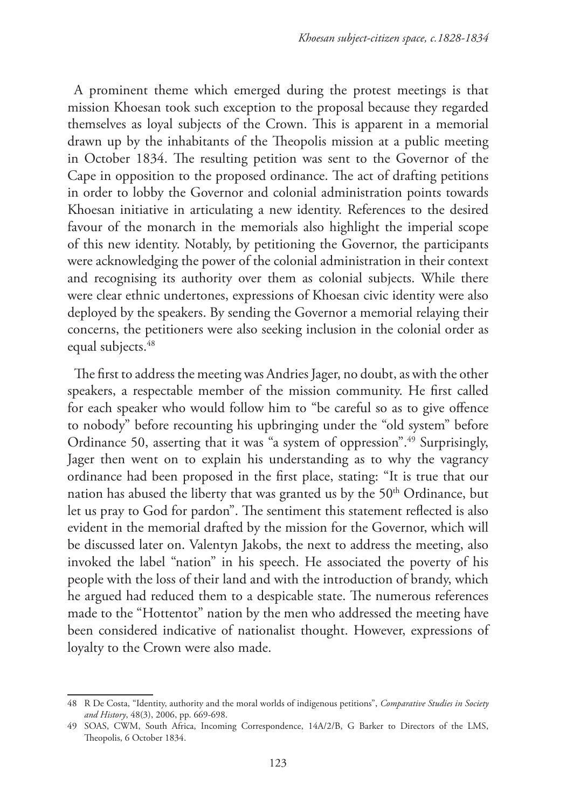A prominent theme which emerged during the protest meetings is that mission Khoesan took such exception to the proposal because they regarded themselves as loyal subjects of the Crown. This is apparent in a memorial drawn up by the inhabitants of the Theopolis mission at a public meeting in October 1834. The resulting petition was sent to the Governor of the Cape in opposition to the proposed ordinance. The act of drafting petitions in order to lobby the Governor and colonial administration points towards Khoesan initiative in articulating a new identity. References to the desired favour of the monarch in the memorials also highlight the imperial scope of this new identity. Notably, by petitioning the Governor, the participants were acknowledging the power of the colonial administration in their context and recognising its authority over them as colonial subjects. While there were clear ethnic undertones, expressions of Khoesan civic identity were also deployed by the speakers. By sending the Governor a memorial relaying their concerns, the petitioners were also seeking inclusion in the colonial order as equal subjects.<sup>48</sup>

The first to address the meeting was Andries Jager, no doubt, as with the other speakers, a respectable member of the mission community. He first called for each speaker who would follow him to "be careful so as to give offence to nobody" before recounting his upbringing under the "old system" before Ordinance 50, asserting that it was "a system of oppression".49 Surprisingly, Jager then went on to explain his understanding as to why the vagrancy ordinance had been proposed in the first place, stating: "It is true that our nation has abused the liberty that was granted us by the 50<sup>th</sup> Ordinance, but let us pray to God for pardon". The sentiment this statement reflected is also evident in the memorial drafted by the mission for the Governor, which will be discussed later on. Valentyn Jakobs, the next to address the meeting, also invoked the label "nation" in his speech. He associated the poverty of his people with the loss of their land and with the introduction of brandy, which he argued had reduced them to a despicable state. The numerous references made to the "Hottentot" nation by the men who addressed the meeting have been considered indicative of nationalist thought. However, expressions of loyalty to the Crown were also made.

<sup>48</sup> R De Costa, "Identity, authority and the moral worlds of indigenous petitions", *Comparative Studies in Society and History*, 48(3), 2006, pp. 669-698.

<sup>49</sup> SOAS, CWM, South Africa, Incoming Correspondence, 14A/2/B, G Barker to Directors of the LMS, Theopolis, 6 October 1834.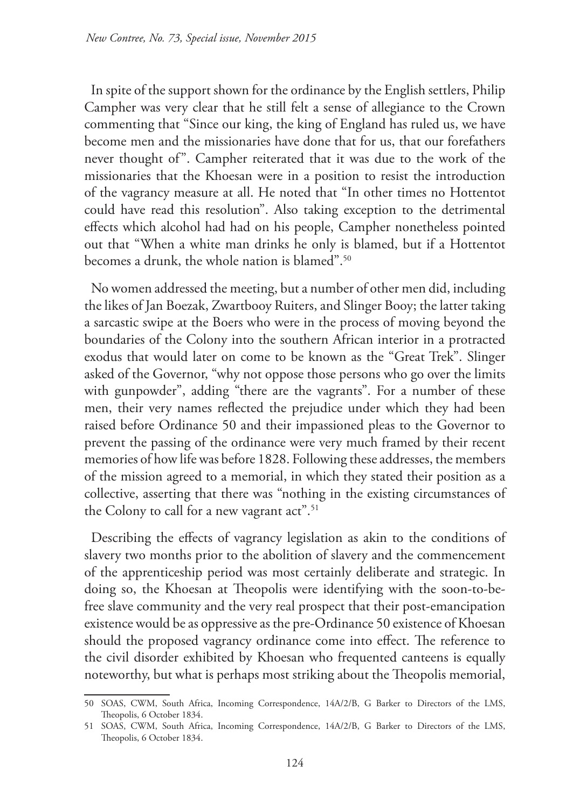In spite of the support shown for the ordinance by the English settlers, Philip Campher was very clear that he still felt a sense of allegiance to the Crown commenting that "Since our king, the king of England has ruled us, we have become men and the missionaries have done that for us, that our forefathers never thought of". Campher reiterated that it was due to the work of the missionaries that the Khoesan were in a position to resist the introduction of the vagrancy measure at all. He noted that "In other times no Hottentot could have read this resolution". Also taking exception to the detrimental effects which alcohol had had on his people, Campher nonetheless pointed out that "When a white man drinks he only is blamed, but if a Hottentot becomes a drunk, the whole nation is blamed".50

No women addressed the meeting, but a number of other men did, including the likes of Jan Boezak, Zwartbooy Ruiters, and Slinger Booy; the latter taking a sarcastic swipe at the Boers who were in the process of moving beyond the boundaries of the Colony into the southern African interior in a protracted exodus that would later on come to be known as the "Great Trek". Slinger asked of the Governor, "why not oppose those persons who go over the limits with gunpowder", adding "there are the vagrants". For a number of these men, their very names reflected the prejudice under which they had been raised before Ordinance 50 and their impassioned pleas to the Governor to prevent the passing of the ordinance were very much framed by their recent memories of how life was before 1828. Following these addresses, the members of the mission agreed to a memorial, in which they stated their position as a collective, asserting that there was "nothing in the existing circumstances of the Colony to call for a new vagrant act".<sup>51</sup>

Describing the effects of vagrancy legislation as akin to the conditions of slavery two months prior to the abolition of slavery and the commencement of the apprenticeship period was most certainly deliberate and strategic. In doing so, the Khoesan at Theopolis were identifying with the soon-to-befree slave community and the very real prospect that their post-emancipation existence would be as oppressive as the pre-Ordinance 50 existence of Khoesan should the proposed vagrancy ordinance come into effect. The reference to the civil disorder exhibited by Khoesan who frequented canteens is equally noteworthy, but what is perhaps most striking about the Theopolis memorial,

<sup>50</sup> SOAS, CWM, South Africa, Incoming Correspondence, 14A/2/B, G Barker to Directors of the LMS, Theopolis, 6 October 1834.

<sup>51</sup> SOAS, CWM, South Africa, Incoming Correspondence, 14A/2/B, G Barker to Directors of the LMS, Theopolis, 6 October 1834.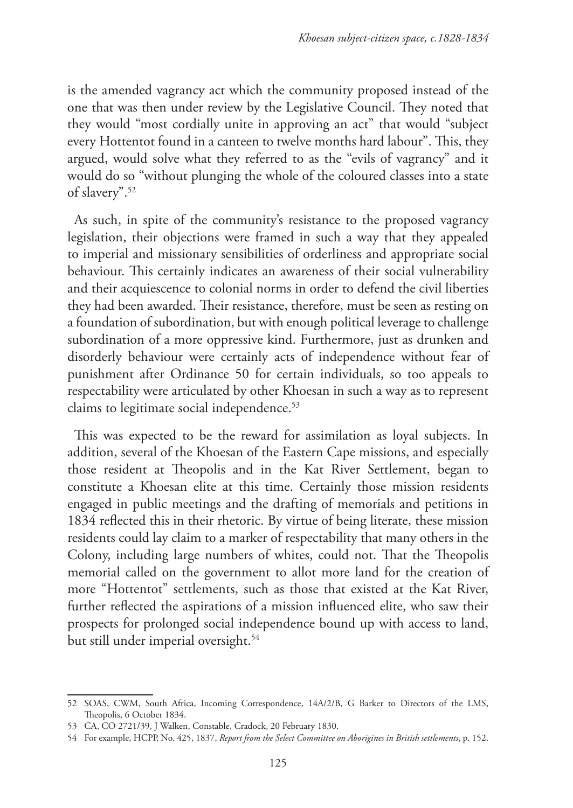is the amended vagrancy act which the community proposed instead of the one that was then under review by the Legislative Council. They noted that they would "most cordially unite in approving an act" that would "subject every Hottentot found in a canteen to twelve months hard labour". This, they argued, would solve what they referred to as the "evils of vagrancy" and it would do so "without plunging the whole of the coloured classes into a state of slavery".52

As such, in spite of the community's resistance to the proposed vagrancy legislation, their objections were framed in such a way that they appealed to imperial and missionary sensibilities of orderliness and appropriate social behaviour. This certainly indicates an awareness of their social vulnerability and their acquiescence to colonial norms in order to defend the civil liberties they had been awarded. Their resistance, therefore, must be seen as resting on a foundation of subordination, but with enough political leverage to challenge subordination of a more oppressive kind. Furthermore, just as drunken and disorderly behaviour were certainly acts of independence without fear of punishment after Ordinance 50 for certain individuals, so too appeals to respectability were articulated by other Khoesan in such a way as to represent claims to legitimate social independence.<sup>53</sup>

This was expected to be the reward for assimilation as loyal subjects. In addition, several of the Khoesan of the Eastern Cape missions, and especially those resident at Theopolis and in the Kat River Settlement, began to constitute a Khoesan elite at this time. Certainly those mission residents engaged in public meetings and the drafting of memorials and petitions in 1834 reflected this in their rhetoric. By virtue of being literate, these mission residents could lay claim to a marker of respectability that many others in the Colony, including large numbers of whites, could not. That the Theopolis memorial called on the government to allot more land for the creation of more "Hottentot" settlements, such as those that existed at the Kat River, further reflected the aspirations of a mission influenced elite, who saw their prospects for prolonged social independence bound up with access to land, but still under imperial oversight.<sup>54</sup>

<sup>52</sup> SOAS, CWM, South Africa, Incoming Correspondence, 14A/2/B, G Barker to Directors of the LMS, Theopolis, 6 October 1834.

<sup>53</sup> CA, CO 2721/39, J Walken, Constable, Cradock, 20 February 1830.

<sup>54</sup> For example, HCPP, No. 425, 1837, *Report from the Select Committee on Aborigines in British settlements*, p. 152.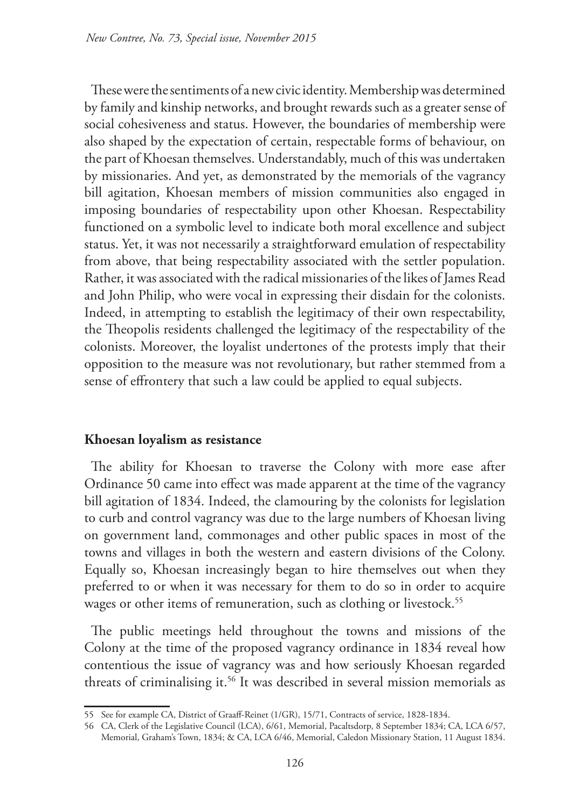These were the sentiments of a new civic identity. Membership was determined by family and kinship networks, and brought rewards such as a greater sense of social cohesiveness and status. However, the boundaries of membership were also shaped by the expectation of certain, respectable forms of behaviour, on the part of Khoesan themselves. Understandably, much of this was undertaken by missionaries. And yet, as demonstrated by the memorials of the vagrancy bill agitation, Khoesan members of mission communities also engaged in imposing boundaries of respectability upon other Khoesan. Respectability functioned on a symbolic level to indicate both moral excellence and subject status. Yet, it was not necessarily a straightforward emulation of respectability from above, that being respectability associated with the settler population. Rather, it was associated with the radical missionaries of the likes of James Read and John Philip, who were vocal in expressing their disdain for the colonists. Indeed, in attempting to establish the legitimacy of their own respectability, the Theopolis residents challenged the legitimacy of the respectability of the colonists. Moreover, the loyalist undertones of the protests imply that their opposition to the measure was not revolutionary, but rather stemmed from a sense of effrontery that such a law could be applied to equal subjects.

## **Khoesan loyalism as resistance**

The ability for Khoesan to traverse the Colony with more ease after Ordinance 50 came into effect was made apparent at the time of the vagrancy bill agitation of 1834. Indeed, the clamouring by the colonists for legislation to curb and control vagrancy was due to the large numbers of Khoesan living on government land, commonages and other public spaces in most of the towns and villages in both the western and eastern divisions of the Colony. Equally so, Khoesan increasingly began to hire themselves out when they preferred to or when it was necessary for them to do so in order to acquire wages or other items of remuneration, such as clothing or livestock.<sup>55</sup>

The public meetings held throughout the towns and missions of the Colony at the time of the proposed vagrancy ordinance in 1834 reveal how contentious the issue of vagrancy was and how seriously Khoesan regarded threats of criminalising it.<sup>56</sup> It was described in several mission memorials as

<sup>55</sup> See for example CA, District of Graaff-Reinet (1/GR), 15/71, Contracts of service, 1828-1834.

<sup>56</sup> CA, Clerk of the Legislative Council (LCA), 6/61, Memorial, Pacaltsdorp, 8 September 1834; CA, LCA 6/57, Memorial, Graham's Town, 1834; & CA, LCA 6/46, Memorial, Caledon Missionary Station, 11 August 1834.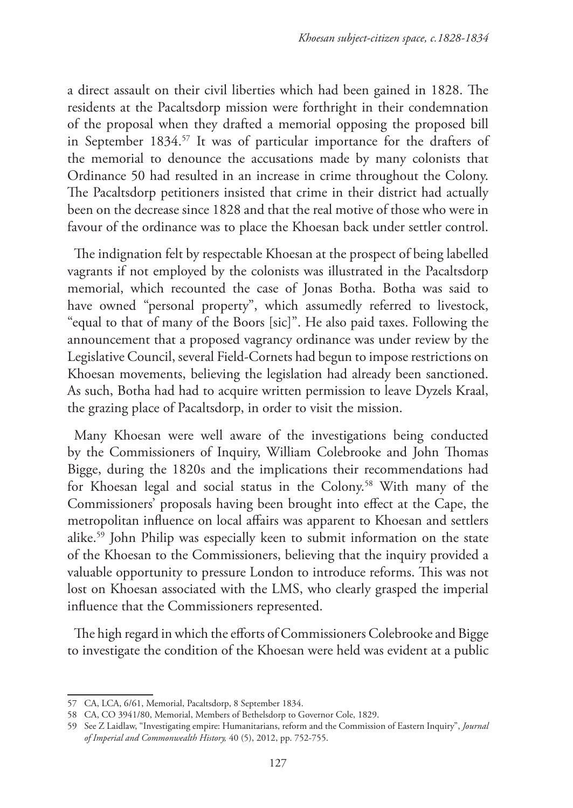a direct assault on their civil liberties which had been gained in 1828. The residents at the Pacaltsdorp mission were forthright in their condemnation of the proposal when they drafted a memorial opposing the proposed bill in September 1834.57 It was of particular importance for the drafters of the memorial to denounce the accusations made by many colonists that Ordinance 50 had resulted in an increase in crime throughout the Colony. The Pacaltsdorp petitioners insisted that crime in their district had actually been on the decrease since 1828 and that the real motive of those who were in favour of the ordinance was to place the Khoesan back under settler control.

The indignation felt by respectable Khoesan at the prospect of being labelled vagrants if not employed by the colonists was illustrated in the Pacaltsdorp memorial, which recounted the case of Jonas Botha. Botha was said to have owned "personal property", which assumedly referred to livestock, "equal to that of many of the Boors [sic]". He also paid taxes. Following the announcement that a proposed vagrancy ordinance was under review by the Legislative Council, several Field-Cornets had begun to impose restrictions on Khoesan movements, believing the legislation had already been sanctioned. As such, Botha had had to acquire written permission to leave Dyzels Kraal, the grazing place of Pacaltsdorp, in order to visit the mission.

Many Khoesan were well aware of the investigations being conducted by the Commissioners of Inquiry, William Colebrooke and John Thomas Bigge, during the 1820s and the implications their recommendations had for Khoesan legal and social status in the Colony.58 With many of the Commissioners' proposals having been brought into effect at the Cape, the metropolitan influence on local affairs was apparent to Khoesan and settlers alike.59 John Philip was especially keen to submit information on the state of the Khoesan to the Commissioners, believing that the inquiry provided a valuable opportunity to pressure London to introduce reforms. This was not lost on Khoesan associated with the LMS, who clearly grasped the imperial influence that the Commissioners represented.

The high regard in which the efforts of Commissioners Colebrooke and Bigge to investigate the condition of the Khoesan were held was evident at a public

<sup>57</sup> CA, LCA, 6/61, Memorial, Pacaltsdorp, 8 September 1834.

<sup>58</sup> CA, CO 3941/80, Memorial, Members of Bethelsdorp to Governor Cole, 1829.

<sup>59</sup> See Z Laidlaw, "Investigating empire: Humanitarians, reform and the Commission of Eastern Inquiry", *Journal of Imperial and Commonwealth History,* 40 (5), 2012, pp. 752-755.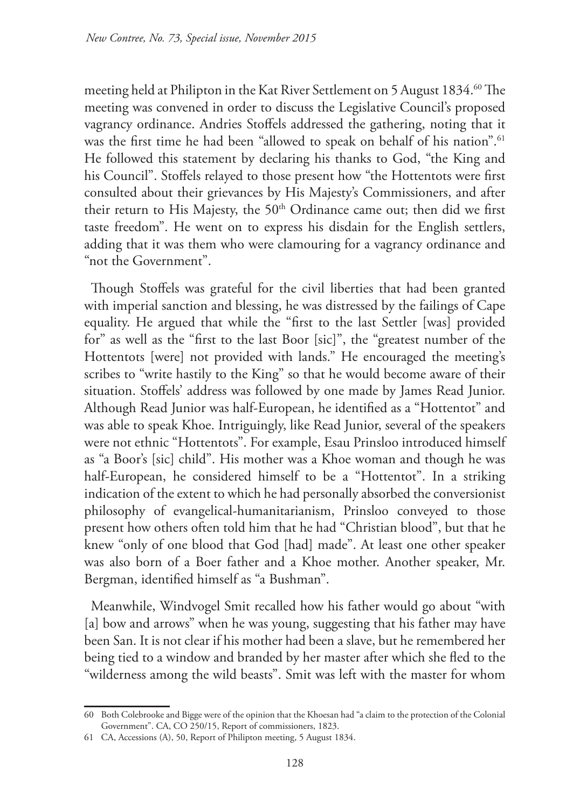meeting held at Philipton in the Kat River Settlement on 5 August 1834.<sup>60</sup> The meeting was convened in order to discuss the Legislative Council's proposed vagrancy ordinance. Andries Stoffels addressed the gathering, noting that it was the first time he had been "allowed to speak on behalf of his nation".<sup>61</sup> He followed this statement by declaring his thanks to God, "the King and his Council". Stoffels relayed to those present how "the Hottentots were first consulted about their grievances by His Majesty's Commissioners, and after their return to His Majesty, the 50<sup>th</sup> Ordinance came out; then did we first taste freedom". He went on to express his disdain for the English settlers, adding that it was them who were clamouring for a vagrancy ordinance and "not the Government".

Though Stoffels was grateful for the civil liberties that had been granted with imperial sanction and blessing, he was distressed by the failings of Cape equality. He argued that while the "first to the last Settler [was] provided for" as well as the "first to the last Boor [sic]", the "greatest number of the Hottentots [were] not provided with lands." He encouraged the meeting's scribes to "write hastily to the King" so that he would become aware of their situation. Stoffels' address was followed by one made by James Read Junior. Although Read Junior was half-European, he identified as a "Hottentot" and was able to speak Khoe. Intriguingly, like Read Junior, several of the speakers were not ethnic "Hottentots". For example, Esau Prinsloo introduced himself as "a Boor's [sic] child". His mother was a Khoe woman and though he was half-European, he considered himself to be a "Hottentot". In a striking indication of the extent to which he had personally absorbed the conversionist philosophy of evangelical-humanitarianism, Prinsloo conveyed to those present how others often told him that he had "Christian blood", but that he knew "only of one blood that God [had] made". At least one other speaker was also born of a Boer father and a Khoe mother. Another speaker, Mr. Bergman, identified himself as "a Bushman".

Meanwhile, Windvogel Smit recalled how his father would go about "with [a] bow and arrows" when he was young, suggesting that his father may have been San. It is not clear if his mother had been a slave, but he remembered her being tied to a window and branded by her master after which she fled to the "wilderness among the wild beasts". Smit was left with the master for whom

<sup>60</sup> Both Colebrooke and Bigge were of the opinion that the Khoesan had "a claim to the protection of the Colonial Government". CA, CO 250/15, Report of commissioners, 1823.

<sup>61</sup> CA, Accessions (A), 50, Report of Philipton meeting, 5 August 1834.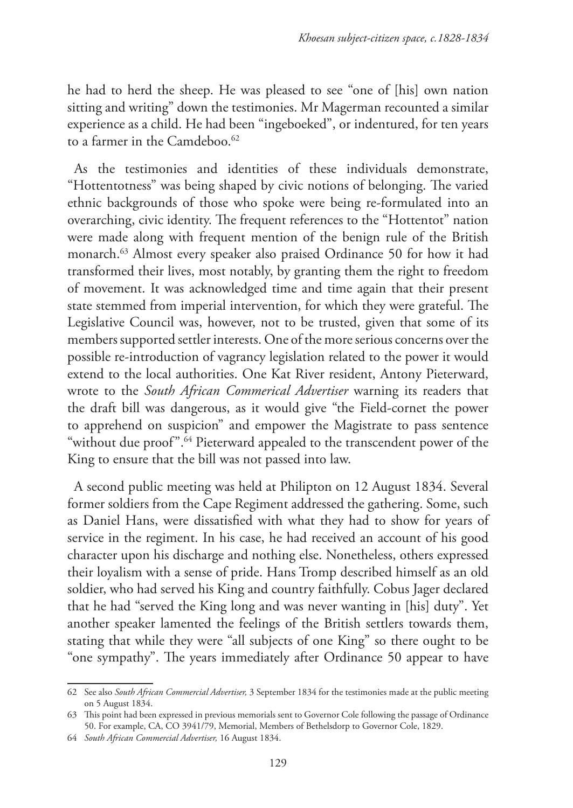he had to herd the sheep. He was pleased to see "one of [his] own nation sitting and writing" down the testimonies. Mr Magerman recounted a similar experience as a child. He had been "ingeboeked", or indentured, for ten years to a farmer in the Camdeboo.<sup>62</sup>

As the testimonies and identities of these individuals demonstrate, "Hottentotness" was being shaped by civic notions of belonging. The varied ethnic backgrounds of those who spoke were being re-formulated into an overarching, civic identity. The frequent references to the "Hottentot" nation were made along with frequent mention of the benign rule of the British monarch.63 Almost every speaker also praised Ordinance 50 for how it had transformed their lives, most notably, by granting them the right to freedom of movement. It was acknowledged time and time again that their present state stemmed from imperial intervention, for which they were grateful. The Legislative Council was, however, not to be trusted, given that some of its members supported settler interests. One of the more serious concerns over the possible re-introduction of vagrancy legislation related to the power it would extend to the local authorities. One Kat River resident, Antony Pieterward, wrote to the *South African Commerical Advertiser* warning its readers that the draft bill was dangerous, as it would give "the Field-cornet the power to apprehend on suspicion" and empower the Magistrate to pass sentence "without due proof".<sup>64</sup> Pieterward appealed to the transcendent power of the King to ensure that the bill was not passed into law.

A second public meeting was held at Philipton on 12 August 1834. Several former soldiers from the Cape Regiment addressed the gathering. Some, such as Daniel Hans, were dissatisfied with what they had to show for years of service in the regiment. In his case, he had received an account of his good character upon his discharge and nothing else. Nonetheless, others expressed their loyalism with a sense of pride. Hans Tromp described himself as an old soldier, who had served his King and country faithfully. Cobus Jager declared that he had "served the King long and was never wanting in [his] duty". Yet another speaker lamented the feelings of the British settlers towards them, stating that while they were "all subjects of one King" so there ought to be "one sympathy". The years immediately after Ordinance 50 appear to have

<sup>62</sup> See also *South African Commercial Advertiser,* 3 September 1834 for the testimonies made at the public meeting on 5 August 1834.

<sup>63</sup> This point had been expressed in previous memorials sent to Governor Cole following the passage of Ordinance 50. For example, CA, CO 3941/79, Memorial, Members of Bethelsdorp to Governor Cole, 1829.

<sup>64</sup> *South African Commercial Advertiser,* 16 August 1834.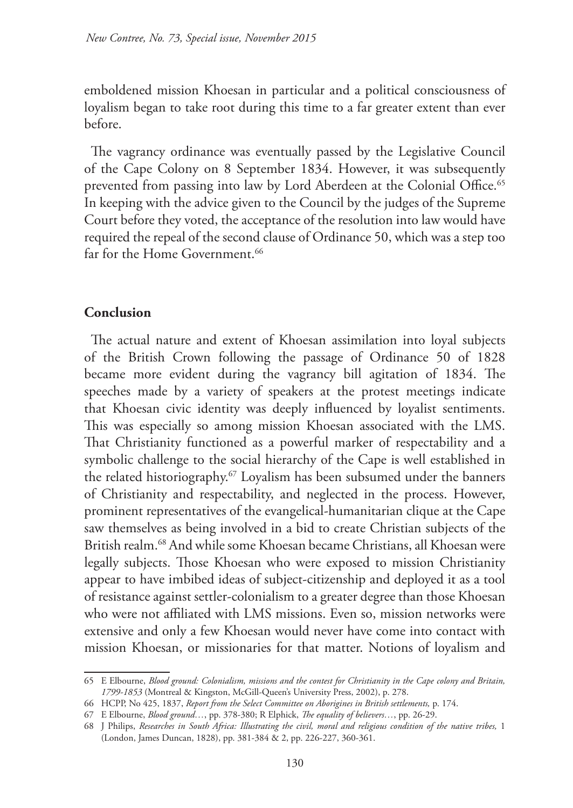emboldened mission Khoesan in particular and a political consciousness of loyalism began to take root during this time to a far greater extent than ever before.

The vagrancy ordinance was eventually passed by the Legislative Council of the Cape Colony on 8 September 1834. However, it was subsequently prevented from passing into law by Lord Aberdeen at the Colonial Office.<sup>65</sup> In keeping with the advice given to the Council by the judges of the Supreme Court before they voted, the acceptance of the resolution into law would have required the repeal of the second clause of Ordinance 50, which was a step too far for the Home Government.<sup>66</sup>

#### **Conclusion**

The actual nature and extent of Khoesan assimilation into loyal subjects of the British Crown following the passage of Ordinance 50 of 1828 became more evident during the vagrancy bill agitation of 1834. The speeches made by a variety of speakers at the protest meetings indicate that Khoesan civic identity was deeply influenced by loyalist sentiments. This was especially so among mission Khoesan associated with the LMS. That Christianity functioned as a powerful marker of respectability and a symbolic challenge to the social hierarchy of the Cape is well established in the related historiography.<sup>67</sup> Loyalism has been subsumed under the banners of Christianity and respectability, and neglected in the process. However, prominent representatives of the evangelical-humanitarian clique at the Cape saw themselves as being involved in a bid to create Christian subjects of the British realm.<sup>68</sup> And while some Khoesan became Christians, all Khoesan were legally subjects. Those Khoesan who were exposed to mission Christianity appear to have imbibed ideas of subject-citizenship and deployed it as a tool of resistance against settler-colonialism to a greater degree than those Khoesan who were not affiliated with LMS missions. Even so, mission networks were extensive and only a few Khoesan would never have come into contact with mission Khoesan, or missionaries for that matter. Notions of loyalism and

<sup>65</sup> E Elbourne, *Blood ground: Colonialism, missions and the contest for Christianity in the Cape colony and Britain, 1799-1853* (Montreal & Kingston, McGill-Queen's University Press, 2002), p. 278.

<sup>66</sup> HCPP, No 425, 1837, *Report from the Select Committee on Aborigines in British settlements,* p. 174.

<sup>67</sup> E Elbourne, *Blood ground…*, pp. 378-380; R Elphick, *The equality of believers…*, pp. 26-29.

<sup>68</sup> J Philips, *Researches in South Africa: Illustrating the civil, moral and religious condition of the native tribes,* 1 (London, James Duncan, 1828), pp. 381-384 & 2, pp. 226-227, 360-361.